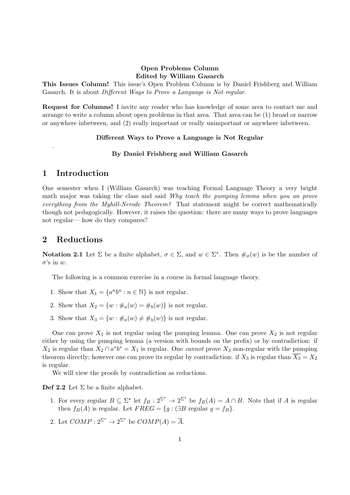### Open Problems Column Edited by William Gasarch

This Issues Column! This issue's Open Problem Column is by Daniel Frishberg and William Gasarch. It is about Different Ways to Prove a Language is Not regular.

Request for Columns! I invite any reader who has knowledge of some area to contact me and arrange to write a column about open problems in that area. That area can be (1) broad or narrow or anywhere inbetween, and (2) really important or really unimportant or anywhere inbetween.

#### Different Ways to Prove a Language is Not Regular

#### By Daniel Frishberg and William Gasarch

### 1 Introduction

.

One semester when I (William Gasarch) was teaching Formal Language Theory a very bright math major was taking the class and said Why teach the pumping lemma when you an prove everything from the Myhill-Nerode Theorem? That statement might be correct mathematically though not pedagogically. However, it raises the question: there are many ways to prove languages not regular— how do they compares?

### 2 Reductions

**Notation 2.1** Let  $\Sigma$  be a finite alphabet,  $\sigma \in \Sigma$ , and  $w \in \Sigma^*$ . Then  $\#_{\sigma}(w)$  is be the number of  $\sigma$ 's in w.

The following is a common exercise in a course in formal language theory.

- 1. Show that  $X_1 = \{a^n b^n : n \in \mathbb{N}\}\$ is not regular.
- 2. Show that  $X_2 = \{w : \#_a(w) = \#_b(w)\}\$ is not regular.
- 3. Show that  $X_3 = \{w : \#_a(w) \neq \#_b(w)\}\$ is not regular.

One can prove  $X_1$  is not regular using the pumping lemma. One can prove  $X_2$  is not regular either by using the pumping lemma (a version with bounds on the prefix) or by contradiction: if  $X_2$  is regular than  $X_2 \cap a^* b^* = X_1$  is regular. One *cannot* prove  $X_3$  non-regular with the pumping theorem directly; however one can prove its regular by contradiction: if  $X_3$  is regular than  $\overline{X_3} = X_2$ is regular.

We will view the proofs by contradiction as reductions.

**Def 2.2** Let  $\Sigma$  be a finite alphabet.

- 1. For every regular  $B \subseteq \Sigma^*$  let  $f_B: 2^{\Sigma^*} \to 2^{\Sigma^*}$  be  $f_B(A) = A \cap B$ . Note that if A is regular then  $f_B(A)$  is regular. Let  $FREG = \{g : (\exists B \text{ regular } g = f_B\}.$
- 2. Let  $COMP:2^{\Sigma^*}\to 2^{\Sigma^*}$  be  $COMP(A)=\overline{A}$ .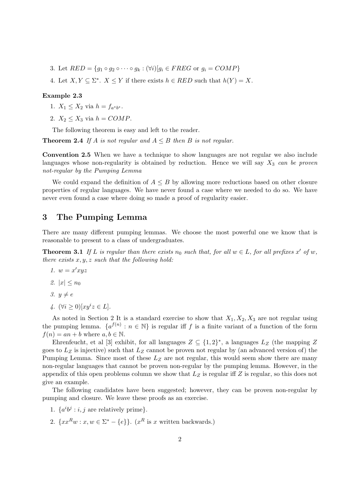- 3. Let  $RED = \{q_1 \circ q_2 \circ \cdots \circ q_k : (\forall i)[q_i \in FREG \text{ or } q_i = COMP\}$
- 4. Let  $X, Y \subseteq \Sigma^*$ .  $X \leq Y$  if there exists  $h \in RED$  such that  $h(Y) = X$ .

#### Example 2.3

- 1.  $X_1 \leq X_2$  via  $h = f_{a^*b^*}$ .
- 2.  $X_2 \leq X_3$  via  $h = COMP$ .

The following theorem is easy and left to the reader.

**Theorem 2.4** If A is not regular and  $A \leq B$  then B is not regular.

Convention 2.5 When we have a technique to show languages are not regular we also include languages whose non-regularity is obtained by reduction. Hence we will say  $X_3$  can be proven not-regular by the Pumping Lemma

We could expand the definition of  $A \leq B$  by allowing more reductions based on other closure properties of regular languages. We have never found a case where we needed to do so. We have never even found a case where doing so made a proof of regularity easier.

# 3 The Pumping Lemma

There are many different pumping lemmas. We choose the most powerful one we know that is reasonable to present to a class of undergraduates.

**Theorem 3.1** If L is regular than there exists  $n_0$  such that, for all  $w \in L$ , for all prefixes x' of w, there exists  $x, y, z$  such that the following hold:

- 1.  $w = x'xyz$
- 2.  $|x| < n_0$
- 3.  $y \neq e$
- 4.  $(\forall i \geq 0)[xy^i z \in L].$

As noted in Section 2 It is a standard exercise to show that  $X_1, X_2, X_3$  are not regular using the pumping lemma.  $\{a^{f(n)} : n \in \mathbb{N}\}\$ is regular iff f is a finite variant of a function of the form  $f(n) = an + b$  where  $a, b \in \mathbb{N}$ .

Ehrenfeucht, et al [3] exhibit, for all languages  $Z \subseteq \{1,2\}^*$ , a languages  $L_Z$  (the mapping Z goes to  $L_Z$  is injective) such that  $L_Z$  cannot be proven not regular by (an advanced version of) the Pumping Lemma. Since most of these  $L<sub>Z</sub>$  are not regular, this would seem show there are many non-regular languages that cannot be proven non-regular by the pumping lemma. However, in the appendix of this open problems column we show that  $L_Z$  is regular iff  $Z$  is regular, so this does not give an example.

The following candidates have been suggested; however, they can be proven non-regular by pumping and closure. We leave these proofs as an exercise.

- 1.  $\{a^i b^j : i, j \text{ are relatively prime}\}.$
- 2.  $\{xx^Rw:x,w\in\Sigma^*-\{e\}\}\text{. } (x^R \text{ is } x \text{ written backwards.})$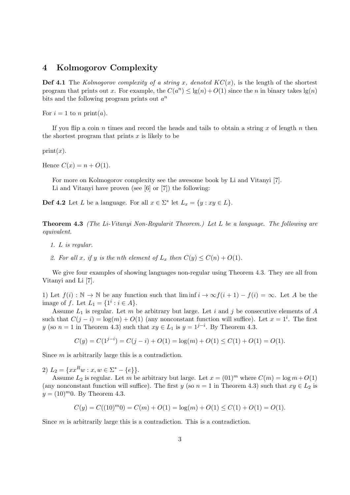### 4 Kolmogorov Complexity

**Def 4.1** The Kolmogorov complexity of a string x, denoted  $KC(x)$ , is the length of the shortest program that prints out x. For example, the  $C(a^n) \leq \lg(n) + O(1)$  since the n in binary takes  $\lg(n)$ bits and the following program prints out  $a^n$ 

For  $i = 1$  to n print(a).

If you flip a coin n times and record the heads and tails to obtain a string  $x$  of length  $n$  then the shortest program that prints  $x$  is likely to be

 $print(x)$ .

Hence  $C(x) = n + O(1)$ .

For more on Kolmogorov complexity see the awesome book by Li and Vitanyi [7]. Li and Vitanyi have proven (see [6] or [7]) the following:

**Def 4.2** Let L be a language. For all  $x \in \Sigma^*$  let  $L_x = \{y : xy \in L\}$ .

Theorem 4.3 (The Li-Vitanyi Non-Regularit Theorem.) Let L be a language. The following are equivalent.

- 1. L is regular.
- 2. For all x, if y is the nth element of  $L_x$  then  $C(y) \leq C(n) + O(1)$ .

We give four examples of showing languages non-regular using Theorem 4.3. They are all from Vitanyi and Li [7].

1) Let  $f(i) : \mathbb{N} \to \mathbb{N}$  be any function such that  $\liminf_{i \to \infty} i \to \infty$   $f(i+1) - f(i) = \infty$ . Let A be the image of f. Let  $L_1 = \{1^i : i \in A\}.$ 

Assume  $L_1$  is regular. Let m be arbitrary but large. Let i and j be consecutive elements of A such that  $C(j - i) = \log(m) + O(1)$  (any nonconstant function will suffice). Let  $x = 1^i$ . The first y (so  $n = 1$  in Theorem 4.3) such that  $xy \in L_1$  is  $y = 1^{j-i}$ . By Theorem 4.3.

$$
C(y) = C(1^{j-i}) = C(j-i) + O(1) = \log(m) + O(1) \le C(1) + O(1) = O(1).
$$

Since m is arbitrarily large this is a contradiction.

2)  $L_2 = \{xx^Rw : x, w \in \Sigma^* - \{e\}\}.$ 

Assume  $L_2$  is regular. Let m be arbitrary but large. Let  $x = (01)^m$  where  $C(m) = \log m + O(1)$ (any nonconstant function will suffice). The first y (so  $n = 1$  in Theorem 4.3) such that  $xy \in L_2$  is  $y = (10)^{m}0$ . By Theorem 4.3.

$$
C(y) = C((10)^{m}0) = C(m) + O(1) = \log(m) + O(1) \le C(1) + O(1) = O(1).
$$

Since m is arbitrarily large this is a contradiction. This is a contradiction.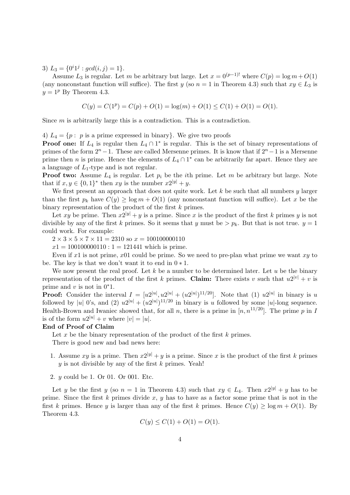3)  $L_3 = \{0^i 1^j : gcd(i, j) = 1\}.$ 

Assume  $L_3$  is regular. Let m be arbitrary but large. Let  $x = 0^{(p-1)!}$  where  $C(p) = \log m + O(1)$ (any nonconstant function will suffice). The first y (so  $n = 1$  in Theorem 4.3) such that  $xy \in L_3$  is  $y = 1^p$  By Theorem 4.3.

$$
C(y) = C(1p) = C(p) + O(1) = \log(m) + O(1) \le C(1) + O(1) = O(1).
$$

Since m is arbitrarily large this is a contradiction. This is a contradiction.

4)  $L_4 = \{p : p \text{ is a prime expressed in binary}\}.$  We give two proofs

**Proof one:** If  $L_4$  is regular then  $L_4 \cap 1^*$  is regular. This is the set of binary representations of primes of the form  $2^{n} - 1$ . These are called Mersenne primes. It is know that if  $2^{n} - 1$  is a Mersenne prime then *n* is prime. Hence the elements of  $L_4 \cap 1^*$  can be arbitrarily far apart. Hence they are a language of  $L_1$ -type and is not regular.

**Proof two:** Assume  $L_4$  is regular. Let  $p_i$  be the *i*th prime. Let m be arbitrary but large. Note that if  $x, y \in \{0, 1\}^*$  then  $xy$  is the number  $x2^{|y|} + y$ .

We first present an approach that does not quite work. Let  $k$  be such that all numbers  $y$  larger than the first  $p_k$  have  $C(y) \ge \log m + O(1)$  (any nonconstant function will suffice). Let x be the binary representation of the product of the first k primes.

Let xy be prime. Then  $x^{2|y|} + y$  is a prime. Since x is the product of the first k primes y is not divisible by any of the first k primes. So it seems that y must be  $> p_k$ . But that is not true.  $y = 1$ could work. For example:

 $2 \times 3 \times 5 \times 7 \times 11 = 2310$  so  $x = 100100000110$ 

 $x1 = 100100000110 : 1 = 121441$  which is prime.

Even if  $x_1$  is not prime,  $x_0$  could be prime. So we need to pre-plan what prime we want  $xy$  to be. The key is that we don't want it to end in  $0 * 1$ .

We now present the real proof. Let  $k$  be a number to be determined later. Let  $u$  be the binary representation of the product of the first k primes. Claim: There exists v such that  $u2^{|v|} + v$  is prime and v is not in  $0^*1$ .

**Proof:** Consider the interval  $I = [u2^{|u|}, u2^{|u|} + (u2^{|u|})^{11/20}]$ . Note that (1)  $u2^{|u|}$  in binary is u followed by |u| 0's, and (2)  $u2^{|u|} + (u2^{|u|})^{11/20}$  in binary is u followed by some |u|-long sequence. Health-Brown and Iwaniec showed that, for all n, there is a prime in  $[n, n^{11/20}]$ . The prime p in I is of the form  $u2^{|u|} + v$  where  $|v| = |u|$ .

#### End of Proof of Claim

Let x be the binary representation of the product of the first  $k$  primes.

There is good new and bad news here:

- 1. Assume xy is a prime. Then  $x^{2|y|} + y$  is a prime. Since x is the product of the first k primes  $y$  is not divisible by any of the first  $k$  primes. Yeah!
- 2. y could be 1. Or 01. Or 001. Etc.

Let y be the first y (so  $n = 1$  in Theorem 4.3) such that  $xy \in L_4$ . Then  $x2^{|y|} + y$  has to be prime. Since the first k primes divide x, y has to have as a factor some prime that is not in the first k primes. Hence y is larger than any of the first k primes. Hence  $C(y) > \log m + O(1)$ . By Theorem 4.3.

$$
C(y) \le C(1) + O(1) = O(1).
$$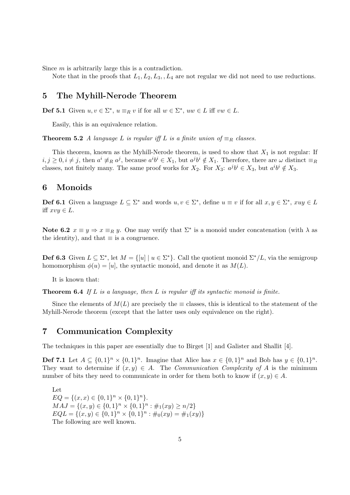Since m is arbitrarily large this is a contradiction.

Note that in the proofs that  $L_1, L_2, L_3, L_4$  are not regular we did not need to use reductions.

### 5 The Myhill-Nerode Theorem

**Def 5.1** Given  $u, v \in \Sigma^*$ ,  $u \equiv_R v$  if for all  $w \in \Sigma^*$ ,  $uw \in L$  iff  $vw \in L$ .

Easily, this is an equivalence relation.

**Theorem 5.2** A language L is regular iff L is a finite union of  $\equiv_R$  classes.

This theorem, known as the Myhill-Nerode theorem, is used to show that  $X_1$  is not regular: If  $i, j \geq 0, i \neq j$ , then  $a^i \neq_R a^j$ , because  $a^i b^i \in X_1$ , but  $a^j b^i \notin X_1$ . Therefore, there are  $\omega$  distinct  $\equiv_R$ classes, not finitely many. The same proof works for  $X_2$ . For  $X_3$ :  $a^j b^i \in X_3$ , but  $a^i b^i \notin X_3$ .

### 6 Monoids

**Def 6.1** Given a language  $L \subseteq \Sigma^*$  and words  $u, v \in \Sigma^*$ , define  $u \equiv v$  if for all  $x, y \in \Sigma^*$ ,  $xuy \in L$ iff  $xvy \in L$ .

Note 6.2  $x \equiv y \Rightarrow x \equiv_R y$ . One may verify that  $\Sigma^*$  is a monoid under concatenation (with  $\lambda$  as the identity), and that  $\equiv$  is a congruence.

**Def 6.3** Given  $L \subseteq \Sigma^*$ , let  $M = \{ [u] \mid u \in \Sigma^* \}$ . Call the quotient monoid  $\Sigma^* / L$ , via the semigroup homomorphism  $\phi(u) = [u]$ , the syntactic monoid, and denote it as  $M(L)$ .

It is known that:

**Theorem 6.4** If L is a language, then L is regular iff its syntactic monoid is finite.

Since the elements of  $M(L)$  are precisely the  $\equiv$  classes, this is identical to the statement of the Myhill-Nerode theorem (except that the latter uses only equivalence on the right).

### 7 Communication Complexity

The techniques in this paper are essentially due to Birget [1] and Galister and Shallit [4].

**Def 7.1** Let  $A \subseteq \{0,1\}^n \times \{0,1\}^n$ . Imagine that Alice has  $x \in \{0,1\}^n$  and Bob has  $y \in \{0,1\}^n$ . They want to determine if  $(x, y) \in A$ . The *Communication Complexity of A* is the minimum number of bits they need to communicate in order for them both to know if  $(x, y) \in A$ .

Let  $EQ = \{(x, x) \in \{0, 1\}^n \times \{0, 1\}^n\}.$  $MAJ = \{(x, y) \in \{0, 1\}^n \times \{0, 1\}^n : \#_1(xy) \ge n/2\}$  $EQL = \{(x, y) \in \{0, 1\}^n \times \{0, 1\}^n : \#_0(xy) = \#_1(xy)\}$ The following are well known.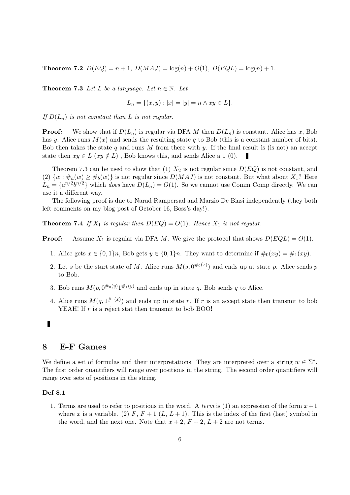**Theorem 7.2**  $D(EQ) = n + 1$ ,  $D(MAJ) = log(n) + O(1)$ ,  $D(EQL) = log(n) + 1$ .

**Theorem 7.3** Let L be a language. Let  $n \in \mathbb{N}$ . Let

$$
L_n = \{(x, y) : |x| = |y| = n \land xy \in L\}.
$$

If  $D(L_n)$  is not constant than L is not regular.

**Proof:** We show that if  $D(L_n)$  is regular via DFA M then  $D(L_n)$  is constant. Alice has x, Bob has y. Alice runs  $M(x)$  and sends the resulting state q to Bob (this is a constant number of bits). Bob then takes the state q and runs M from there with y. If the final result is (is not) an accept state then  $xy \in L$  ( $xy \notin L$ ), Bob knows this, and sends Alice a 1 (0). п

Theorem 7.3 can be used to show that (1)  $X_2$  is not regular since  $D(EQ)$  is not constant, and (2)  $\{w : \#_a(w) \geq \#_b(w)\}\$ is not regular since  $D(MAJ)$  is not constant. But what about  $X_1$ ? Here  $L_n = \{a^{n/2}b^{n/2}\}\$  which does have  $D(L_n) = O(1)$ . So we cannot use Comm Comp directly. We can use it a different way.

The following proof is due to Narad Rampersad and Marzio De Biasi independently (they both left comments on my blog post of October 16, Boss's day!).

**Theorem 7.4** If  $X_1$  is regular then  $D(EQ) = O(1)$ . Hence  $X_1$  is not regular.

**Proof:** Assume  $X_1$  is regular via DFA M. We give the protocol that shows  $D(EQL) = O(1)$ .

- 1. Alice gets  $x \in \{0,1\}n$ , Bob gets  $y \in \{0,1\}n$ . They want to determine if  $\#_0(xy) = \#_1(xy)$ .
- 2. Let s be the start state of M. Alice runs  $M(s, 0^{#0(x)})$  and ends up at state p. Alice sends p to Bob.
- 3. Bob runs  $M(p, 0^{\#o(y)}1^{\#1(y)}$  and ends up in state q. Bob sends q to Alice.
- 4. Alice runs  $M(q, 1^{\#1(x)})$  and ends up in state r. If r is an accept state then transmit to bob YEAH! If  $r$  is a reject stat then transmit to bob BOO!

#### Г

# 8 E-F Games

We define a set of formulas and their interpretations. They are interpreted over a string  $w \in \Sigma^*$ . The first order quantifiers will range over positions in the string. The second order quantifiers will range over sets of positions in the string.

#### Def 8.1

1. Terms are used to refer to positions in the word. A term is (1) an expression of the form  $x+1$ where x is a variable. (2) F,  $F + 1$  (L,  $L + 1$ ). This is the index of the first (last) symbol in the word, and the next one. Note that  $x + 2$ ,  $F + 2$ ,  $L + 2$  are not terms.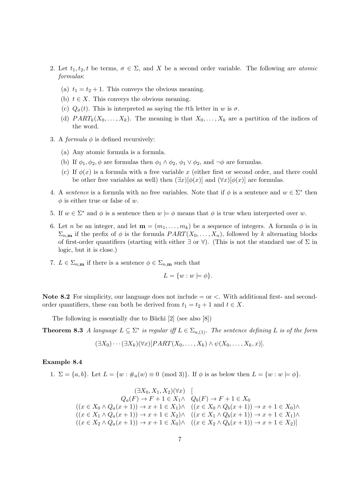- 2. Let  $t_1, t_2, t$  be terms,  $\sigma \in \Sigma$ , and X be a second order variable. The following are *atomic* formulas:
	- (a)  $t_1 = t_2 + 1$ . This conveys the obvious meaning.
	- (b)  $t \in X$ . This conveys the obvious meaning.
	- (c)  $Q_{\sigma}(t)$ . This is interpreted as saying the tth letter in w is  $\sigma$ .
	- (d)  $PART_k(X_0, \ldots, X_k)$ . The meaning is that  $X_0, \ldots, X_k$  are a partition of the indices of the word.
- 3. A *formula*  $\phi$  is defined recursively:
	- (a) Any atomic formula is a formula.
	- (b) If  $\phi_1, \phi_2, \phi$  are formulas then  $\phi_1 \wedge \phi_2, \phi_1 \vee \phi_2$ , and  $\neg \phi$  are formulas.
	- (c) If  $\phi(x)$  is a formula with a free variable x (either first or second order, and there could be other free variables as well) then  $(\exists x)[\phi(x)]$  and  $(\forall x)[\phi(x)]$  are formulas.
- 4. A sentence is a formula with no free variables. Note that if  $\phi$  is a sentence and  $w \in \Sigma^*$  then  $\phi$  is either true or false of w.
- 5. If  $w \in \Sigma^*$  and  $\phi$  is a sentence then  $w \models \phi$  means that  $\phi$  is true when interpreted over w.
- 6. Let *n* be an integer, and let  $\mathbf{m} = (m_1, \ldots, m_k)$  be a sequence of integers. A formula  $\phi$  is in  $\Sigma_{n,m}$  if the prefix of  $\phi$  is the formula  $PART(X_0, \ldots, X_n)$ , followed by k alternating blocks of first-order quantifiers (starting with either  $\exists$  or  $\forall$ ). (This is not the standard use of  $\Sigma$  in logic, but it is close.)
- 7.  $L \in \Sigma_{n,m}$  if there is a sentence  $\phi \in \Sigma_{n,m}$  such that

$$
L = \{w : w \models \phi\}.
$$

Note 8.2 For simplicity, our language does not include  $=$  or  $\lt$ . With additional first- and secondorder quantifiers, these can both be derived from  $t_1 = t_2 + 1$  and  $t \in X$ .

The following is essentially due to Büchi  $[2]$  (see also  $[8]$ )

**Theorem 8.3** A language  $L \subseteq \Sigma^*$  is regular iff  $L \in \Sigma_{n,(1)}$ . The sentence defining L is of the form

$$
(\exists X_0)\cdots(\exists X_k)(\forall x)[PART(X_0,\ldots,X_k)\land\psi(X_0,\ldots,X_k,x)]
$$

#### Example 8.4

1. 
$$
\Sigma = \{a, b\}
$$
. Let  $L = \{w : \#_a(w) \equiv 0 \pmod{3}\}$ . If  $\phi$  is as below then  $L = \{w : w \models \phi\}$ .

$$
(\exists X_0, X_1, X_2)(\forall x) \quad [\n\begin{aligned}\n&\quad Q_a(F) \to F + 1 \in X_1 \land \quad Q_b(F) \to F + 1 \in X_0 \\
&\quad ((x \in X_0 \land Q_a(x+1)) \to x+1 \in X_1) \land \quad ((x \in X_0 \land Q_b(x+1)) \to x+1 \in X_0) \land \\
&\quad ((x \in X_1 \land Q_a(x+1)) \to x+1 \in X_2) \land \quad ((x \in X_1 \land Q_b(x+1)) \to x+1 \in X_1) \land \\
&\quad ((x \in X_2 \land Q_a(x+1)) \to x+1 \in X_0) \land \quad ((x \in X_2 \land Q_b(x+1)) \to x+1 \in X_2)]\n\end{aligned}
$$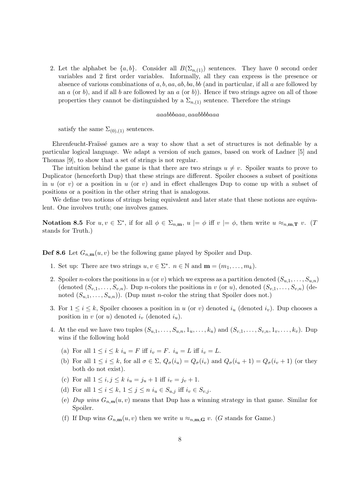2. Let the alphabet be  $\{a, b\}$ . Consider all  $B(\Sigma_{n, (1)})$  sentences. They have 0 second order variables and 2 first order variables. Informally, all they can express is the presence or absence of various combinations of a, b, aa, ab, ba, bb (and in particular, if all a are followed by an a (or b), and if all b are followed by an a (or b)). Hence if two strings agree on all of those properties they cannot be distinguished by a  $\Sigma_{n,(1)}$  sentence. Therefore the strings

#### aaabbbaaa, aaabbbbaaa

satisfy the same  $\Sigma_{(0),(1)}$  sentences.

Ehrenfeucht-Fraïssé games are a way to show that a set of structures is not definable by a particular logical language. We adapt a version of such games, based on work of Ladner [5] and Thomas [9], to show that a set of strings is not regular.

The intuition behind the game is that there are two strings  $u \neq v$ . Spoiler wants to prove to Duplicator (henceforth Dup) that these strings are different. Spoiler chooses a subset of positions in u (or v) or a position in u (or v) and in effect challenges Dup to come up with a subset of positions or a position in the other string that is analogous.

We define two notions of strings being equivalent and later state that these notions are equivalent. One involves truth; one involves games.

Notation 8.5 For  $u, v \in \Sigma^*$ , if for all  $\phi \in \Sigma_{n,m}$ ,  $u \models \phi$  iff  $v \models \phi$ , then write  $u \approx_{n,m,\mathbf{T}} v$ . (*T* stands for Truth.)

**Def 8.6** Let  $G_{n,m}(u, v)$  be the following game played by Spoiler and Dup.

- 1. Set up: There are two strings  $u, v \in \Sigma^*$ .  $n \in \mathbb{N}$  and  $\mathbf{m} = (m_1, \ldots, m_k)$ .
- 2. Spoiler *n*-colors the positions in u (or v) which we express as a partition denoted  $(S_{u,1},\ldots,S_{u,n})$ (denoted  $(S_{v,1},\ldots,S_{v,n})$ ). Dup *n*-colors the positions in v (or u), denoted  $(S_{v,1},\ldots,S_{v,n})$  (denoted  $(S_{u,1},...,S_{u,n})$ . (Dup must *n*-color the string that Spoiler does not.)
- 3. For  $1 \leq i \leq k$ , Spoiler chooses a position in u (or v) denoted  $i_u$  (denoted  $i_v$ ). Dup chooses a position in  $v$  (or  $u$ ) denoted  $i_v$  (denoted  $i_u$ ).
- 4. At the end we have two tuples  $(S_{u,1},\ldots,S_{u,n},1_u,\ldots,k_u)$  and  $(S_{v,1},\ldots,S_{v,n},1_v,\ldots,k_v)$ . Dup wins if the following hold
	- (a) For all  $1 \leq i \leq k$   $i_u = F$  iff  $i_v = F$ .  $i_u = L$  iff  $i_v = L$ .
	- (b) For all  $1 \leq i \leq k$ , for all  $\sigma \in \Sigma$ ,  $Q_{\sigma}(i_u) = Q_{\sigma}(i_v)$  and  $Q_{\sigma}(i_u + 1) = Q_{\sigma}(i_v + 1)$  (or they both do not exist).
	- (c) For all  $1 \le i, j \le k$   $i_u = j_u + 1$  iff  $i_v = j_v + 1$ .
	- (d) For all  $1 \leq i \leq k$ ,  $1 \leq j \leq n$   $i_u \in S_{u,j}$  iff  $i_v \in S_{v,j}$ .
	- (e) Dup wins  $G_{n,m}(u, v)$  means that Dup has a winning strategy in that game. Similar for Spoiler.
	- (f) If Dup wins  $G_{n,m}(u, v)$  then we write  $u \approx_{n,m,\mathbf{G}} v$ . (G stands for Game.)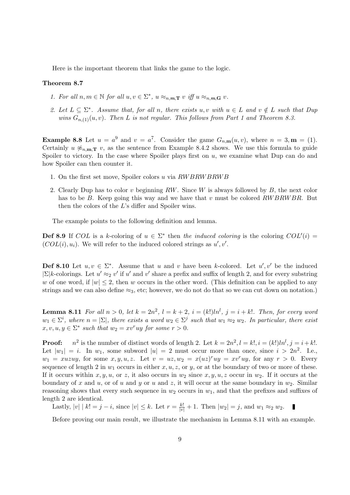Here is the important theorem that links the game to the logic.

#### Theorem 8.7

- 1. For all  $n, m \in \mathbb{N}$  for all  $u, v \in \Sigma^*$ ,  $u \approx_{n,m,\mathbf{T}} v$  iff  $u \approx_{n,m,\mathbf{G}} v$ .
- 2. Let  $L \subseteq \Sigma^*$ . Assume that, for all n, there exists u, v with  $u \in L$  and  $v \notin L$  such that Dup wins  $G_{n,(1)}(u, v)$ . Then L is not regular. This follows from Part 1 and Theorem 8.3.

**Example 8.8** Let  $u = a^9$  and  $v = a^7$ . Consider the game  $G_{n,m}(u, v)$ , where  $n = 3, m = (1)$ . Certainly  $u \not\approx_{n,m,\mathbf{T}} v$ , as the sentence from Example 8.4.2 shows. We use this formula to guide Spoiler to victory. In the case where Spoiler plays first on  $u$ , we examine what Dup can do and how Spoiler can then counter it.

- 1. On the first set move, Spoiler colors u via RW BRW BRW B
- 2. Clearly Dup has to color v beginning  $RW$ . Since W is always followed by  $B$ , the next color has to be B. Keep going this way and we have that v must be colored  $RWBRWBR$ . But then the colors of the L's differ and Spoiler wins.

The example points to the following definition and lemma.

**Def 8.9** If COL is a k-coloring of  $u \in \Sigma^*$  then the induced coloring is the coloring  $COL'(i)$  $(COL(i), u_i)$ . We will refer to the induced colored strings as  $u', v'$ .

**Def 8.10** Let  $u, v \in \Sigma^*$ . Assume that u and v have been k-colored. Let  $u', v'$  be the induced  $|\Sigma|$ k-colorings. Let  $u' \approx_2 v'$  if u' and v' share a prefix and suffix of length 2, and for every substring w of one word, if  $|w| \leq 2$ , then w occurs in the other word. (This definition can be applied to any strings and we can also define  $\approx_3$ , etc; however, we do not do that so we can cut down on notation.)

**Lemma 8.11** For all  $n > 0$ , let  $k = 2n^2$ ,  $l = k + 2$ ,  $i = (k!)ln^l$ ,  $j = i + k!$ . Then, for every word  $w_1 \in \Sigma^i$ , where  $n = |\Sigma|$ , there exists a word  $w_2 \in \Sigma^j$  such that  $w_1 \approx_2 w_2$ . In particular, there exist  $x, v, u, y \in \Sigma^*$  such that  $w_2 = xv^r y$  for some  $r > 0$ .

Proof: <sup>2</sup> is the number of distinct words of length 2. Let  $k = 2n^2$ ,  $l = k!$ ,  $i = (k!)ln^l$ ,  $j = i + k!$ . Let  $|w_1| = i$ . In  $w_1$ , some subword  $|u| = 2$  must occur more than once, since  $i > 2n^2$ . I.e.,  $w_1 = xuxuy$ , for some  $x, y, u, z$ . Let  $v = uz, w_2 = x(uz)^ruy = xv^ruy$ , for any  $r > 0$ . Every sequence of length 2 in  $w_1$  occurs in either  $x, u, z$ , or  $y$ , or at the boundary of two or more of these. If it occurs within x, y, u, or z, it also occurs in  $w_2$  since x, y, u, z occur in  $w_2$ . If it occurs at the boundary of x and u, or of u and y or u and z, it will occur at the same boundary in  $w_2$ . Similar reasoning shows that every such sequence in  $w_2$  occurs in  $w_1$ , and that the prefixes and suffixes of length 2 are identical.

Lastly,  $|v| \, | k! = j - i$ , since  $|v| \leq k$ . Let  $r = \frac{k!}{|v|} + 1$ . Then  $|w_2| = j$ , and  $w_1 \approx_2 w_2$ .

Before proving our main result, we illustrate the mechanism in Lemma 8.11 with an example.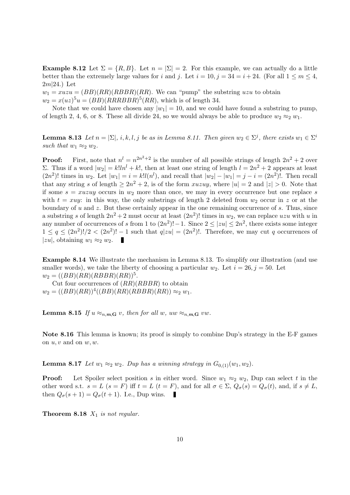**Example 8.12** Let  $\Sigma = \{R, B\}$ . Let  $n = |\Sigma| = 2$ . For this example, we can actually do a little better than the extremely large values for i and j. Let  $i = 10$ ,  $j = 34 = i + 24$ . (For all  $1 \le m \le 4$ ,  $2m|24.$ ) Let

 $w_1 = xuzu = (BB)(RR)(RBBR)(RR)$ . We can "pump" the substring uzu to obtain  $w_2 = x(uz)^5u = (BB)(RRBBBR)^5(RR)$ , which is of length 34.

Note that we could have chosen any  $|w_1| = 10$ , and we could have found a substring to pump, of length 2, 4, 6, or 8. These all divide 24, so we would always be able to produce  $w_2 \approx_2 w_1$ .

**Lemma 8.13** Let  $n = |\Sigma|$ , i, k, l, j be as in Lemma 8.11. Then given  $w_2 \in \Sigma^j$ , there exists  $w_1 \in \Sigma^i$ such that  $w_1 \approx_2 w_2$ .

**Proof:** First, note that  $n^l = n^{2n^2+2}$  is the number of all possible strings of length  $2n^2 + 2$  over Σ. Thus if a word  $|w_2| = k!ln^l + k!$ , then at least one string of length  $l = 2n^2 + 2$  appears at least  $(2n^2)!$  times in  $w_2$ . Let  $|w_1| = i = k! l(n^l)$ , and recall that  $|w_2| - |w_1| = j - i = (2n^2)!$ . Then recall that any string s of length  $\geq 2n^2 + 2$ , is of the form xuzuy, where  $|u| = 2$  and  $|z| > 0$ . Note that if some  $s = xuzuy$  occurs in  $w_2$  more than once, we may in every occurrence but one replace s with  $t = xuy$ : in this way, the only substrings of length 2 deleted from  $w_2$  occur in z or at the boundary of  $u$  and  $z$ . But these certainly appear in the one remaining occurrence of  $s$ . Thus, since a substring s of length  $2n^2 + 2$  must occur at least  $(2n^2)!$  times in  $w_2$ , we can replace uzu with u in any number of occurrences of s from 1 to  $(2n^2)!-1$ . Since  $2 \le |zu| \le 2n^2$ , there exists some integer  $1 \leq q \leq (2n^2)!/2 < (2n^2)!-1$  such that  $q|zu| = (2n^2)!$ . Therefore, we may cut q occurrences of |zu|, obtaining  $w_1 \approx_2 w_2$ .

Example 8.14 We illustrate the mechanism in Lemma 8.13. To simplify our illustration (and use smaller words), we take the liberty of choosing a particular  $w_2$ . Let  $i = 26$ ,  $j = 50$ . Let  $w_2 = ((BB)(RR)(RBBR)(RR))^5.$ 

Cut four occurrences of  $(RR)(RBBR)$  to obtain  $w_2 = ((BB)(RR))^4((BB)(RR)(RBBR)(RR)) \approx_2 w_1.$ 

**Lemma 8.15** If  $u \approx_{n,m,\mathbf{G}} v$ , then for all w,  $uw \approx_{n,m,\mathbf{G}} vw$ .

Note 8.16 This lemma is known; its proof is simply to combine Dup's strategy in the E-F games on  $u, v$  and on  $w, w$ .

**Lemma 8.17** Let  $w_1 \approx_2 w_2$ . Dup has a winning strategy in  $G_{0,1}(w_1, w_2)$ .

**Proof:** Let Spoiler select position s in either word. Since  $w_1 \approx_2 w_2$ , Dup can select t in the other word s.t.  $s = L$   $(s = F)$  iff  $t = L$   $(t = F)$ , and for all  $\sigma \in \Sigma$ ,  $Q_{\sigma}(s) = Q_{\sigma}(t)$ , and, if  $s \neq L$ , then  $Q_{\sigma}(s+1) = Q_{\sigma}(t+1)$ . I.e., Dup wins.

**Theorem 8.18**  $X_1$  is not regular.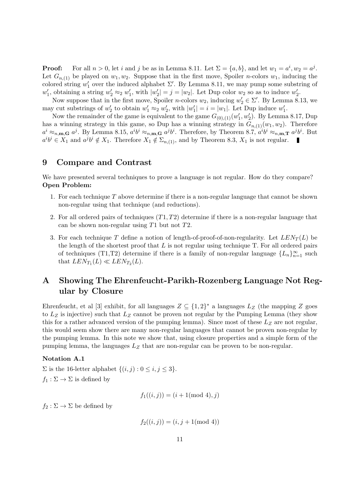**Proof:** For all  $n > 0$ , let i and j be as in Lemma 8.11. Let  $\Sigma = \{a, b\}$ , and let  $w_1 = a^i, w_2 = a^j$ . Let  $G_{n,(1)}$  be played on  $w_1, w_2$ . Suppose that in the first move, Spoiler *n*-colors  $w_1$ , inducing the colored string  $w'_1$  over the induced alphabet  $\Sigma'$ . By Lemma 8.11, we may pump some substring of  $w'_1$ , obtaining a string  $w'_2 \approx_2 w'_1$ , with  $|w'_2| = j = |w_2|$ . Let Dup color  $w_2$  so as to induce  $w'_2$ .

Now suppose that in the first move, Spoiler *n*-colors  $w_2$ , inducing  $w'_2 \in \Sigma'$ . By Lemma 8.13, we may cut substrings of  $w'_2$  to obtain  $w'_1 \approx_2 w'_2$ , with  $|w'_1| = i = |w_1|$ . Let Dup induce  $w'_1$ .

Now the remainder of the game is equivalent to the game  $G_{(0),(1)}(w'_1,w'_2)$ . By Lemma 8.17, Dup has a winning strategy in this game, so Dup has a winning strategy in  $G_{n,(1)}(w_1, w_2)$ . Therefore  $a^i \approx_{n,\mathbf{m},\mathbf{G}} a^j$ . By Lemma 8.15,  $a^i b^i \approx_{n,\mathbf{m},\mathbf{G}} a^j b^i$ . Therefore, by Theorem 8.7,  $a^i b^i \approx_{n,\mathbf{m},\mathbf{T}} a^j b^i$ . But  $a^i b^i \in X_1$  and  $a^j b^i \notin X_1$ . Therefore  $X_1 \notin \Sigma_{n,(1)}$ , and by Theorem 8.3,  $X_1$  is not regular.

### 9 Compare and Contrast

We have presented several techniques to prove a language is not regular. How do they compare? Open Problem:

- 1. For each technique  $T$  above determine if there is a non-regular language that cannot be shown non-regular using that technique (and reductions).
- 2. For all ordered pairs of techniques  $(T1, T2)$  determine if there is a non-regular language that can be shown non-regular using  $T1$  but not  $T2$ .
- 3. For each technique T define a notion of length-of-proof-of-non-regularity. Let  $LEN_T(L)$  be the length of the shortest proof that  $L$  is not regular using technique T. For all ordered pairs of techniques (T1,T2) determine if there is a family of non-regular language  $\{L_n\}_{n=1}^{\infty}$  such that  $LEN_{T_1}(L) \ll LEN_{T_2}(L)$ .

# A Showing The Ehrenfeucht-Parikh-Rozenberg Language Not Regular by Closure

Ehrenfeucht, et al [3] exhibit, for all languages  $Z \subseteq \{1,2\}^*$  a languages  $L_Z$  (the mapping Z goes to  $L_Z$  is injective) such that  $L_Z$  cannot be proven not regular by the Pumping Lemma (they show this for a rather advanced version of the pumping lemma). Since most of these  $L<sub>Z</sub>$  are not regular, this would seem show there are many non-regular languages that cannot be proven non-regular by the pumping lemma. In this note we show that, using closure properties and a simple form of the pumping lemma, the languages  $L<sub>Z</sub>$  that are non-regular can be proven to be non-regular.

#### Notation A.1

 $\Sigma$  is the 16-letter alphabet  $\{(i, j) : 0 \le i, j \le 3\}.$  $f_1 : \Sigma \to \Sigma$  is defined by

$$
f_1((i,j)) = (i + 1 \text{ (mod 4)}, j)
$$

 $f_2 : \Sigma \to \Sigma$  be defined by

$$
f_2((i,j)) = (i,j+1 \text{ (mod 4)})
$$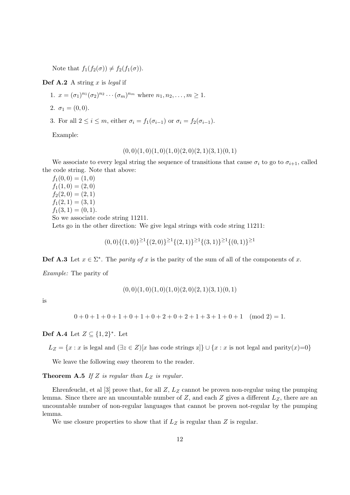Note that  $f_1(f_2(\sigma)) \neq f_2(f_1(\sigma))$ .

**Def A.2** A string  $x$  is legal if

1. 
$$
x = (\sigma_1)^{n_1} (\sigma_2)^{n_2} \cdots (\sigma_m)^{n_m}
$$
 where  $n_1, n_2, \ldots, m \ge 1$ .

2. 
$$
\sigma_1 = (0, 0)
$$
.

3. For all  $2 \leq i \leq m$ , either  $\sigma_i = f_1(\sigma_{i-1})$  or  $\sigma_i = f_2(\sigma_{i-1})$ .

Example:

$$
(0,0)(1,0)(1,0)(1,0)(2,0)(2,1)(3,1)(0,1)
$$

We associate to every legal string the sequence of transitions that cause  $\sigma_i$  to go to  $\sigma_{i+1}$ , called the code string. Note that above:

 $f_1(0, 0) = (1, 0)$  $f_1(1,0) = (2,0)$  $f_2(2,0) = (2,1)$  $f_1(2, 1) = (3, 1)$  $f_1(3, 1) = (0, 1).$ So we associate code string 11211.

Lets go in the other direction: We give legal strings with code string 11211:

 $(0,0)\{(1,0)\}^{\geq 1}\{(2,0)\}^{\geq 1}\{(2,1)\}^{\geq 1}\{(3,1)\}^{\geq 1}\{(0,1)\}^{\geq 1}$ 

**Def A.3** Let  $x \in \Sigma^*$ . The *parity of* x is the parity of the sum of all of the components of x.

Example: The parity of

$$
(0,0)(1,0)(1,0)(1,0)(2,0)(2,1)(3,1)(0,1)
$$

is

 $0+0+1+0+1+0+1+0+2+0+2+1+3+1+0+1 \pmod{2} = 1.$ 

### Def A.4 Let  $Z \subseteq \{1,2\}^*$ . Let

 $L_Z = \{x : x$  is legal and  $(\exists z \in Z)[x$  has code strings  $z] \cup \{x : x$  is not legal and parity $(x)=0\}$ 

We leave the following easy theorem to the reader.

**Theorem A.5** If Z is regular than  $L_Z$  is regular.

Ehrenfeucht, et al [3] prove that, for all  $Z, L<sub>Z</sub>$  cannot be proven non-regular using the pumping lemma. Since there are an uncountable number of  $Z$ , and each  $Z$  gives a different  $L_Z$ , there are an uncountable number of non-regular languages that cannot be proven not-regular by the pumping lemma.

We use closure properties to show that if  $L_Z$  is regular than  $Z$  is regular.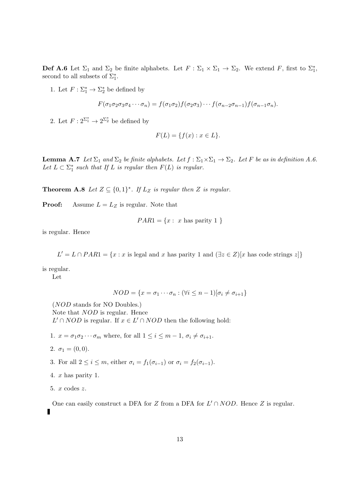**Def A.6** Let  $\Sigma_1$  and  $\Sigma_2$  be finite alphabets. Let  $F : \Sigma_1 \times \Sigma_1 \to \Sigma_2$ . We extend F, first to  $\Sigma_1^*$ , second to all subsets of  $\Sigma_1^*$ .

1. Let  $F: \Sigma_1^* \to \Sigma_2^*$  be defined by

$$
F(\sigma_1 \sigma_2 \sigma_3 \sigma_4 \cdots \sigma_n) = f(\sigma_1 \sigma_2) f(\sigma_2 \sigma_3) \cdots f(\sigma_{n-2} \sigma_{n-1}) f(\sigma_{n-1} \sigma_n).
$$

2. Let  $F: 2^{\sum_{1}^{*}} \to 2^{\sum_{2}^{*}}$  be defined by

$$
F(L) = \{ f(x) : x \in L \}.
$$

**Lemma A.7** Let  $\Sigma_1$  and  $\Sigma_2$  be finite alphabets. Let  $f : \Sigma_1 \times \Sigma_1 \to \Sigma_2$ . Let F be as in definition A.6. Let  $L \subset \Sigma_1^*$  such that If L is regular then  $F(L)$  is regular.

**Theorem A.8** Let  $Z \subseteq \{0,1\}^*$ . If  $L_Z$  is regular then Z is regular.

**Proof:** Assume  $L = L_Z$  is regular. Note that

$$
PAR1 = \{x : x \text{ has parity } 1 \}
$$

is regular. Hence

 $L' = L \cap PAR1 = \{x : x \text{ is legal and } x \text{ has parity } 1 \text{ and } (\exists z \in Z)[x \text{ has code strings } z] \}$ 

is regular.

Let

$$
NOD = \{x = \sigma_1 \cdots \sigma_n : (\forall i \le n-1)[\sigma_i \neq \sigma_{i+1}\}\
$$

(NOD stands for NO Doubles.) Note that NOD is regular. Hence  $L' \cap NOD$  is regular. If  $x \in L' \cap NOD$  then the following hold:

- 1.  $x = \sigma_1 \sigma_2 \cdots \sigma_m$  where, for all  $1 \leq i \leq m-1$ ,  $\sigma_i \neq \sigma_{i+1}$ .
- 2.  $\sigma_1 = (0, 0)$ .
- 3. For all  $2 \leq i \leq m$ , either  $\sigma_i = f_1(\sigma_{i-1})$  or  $\sigma_i = f_2(\sigma_{i-1})$ .
- 4.  $x$  has parity 1.
- 5. x codes z.

One can easily construct a DFA for Z from a DFA for  $L' \cap NOD$ . Hence Z is regular.